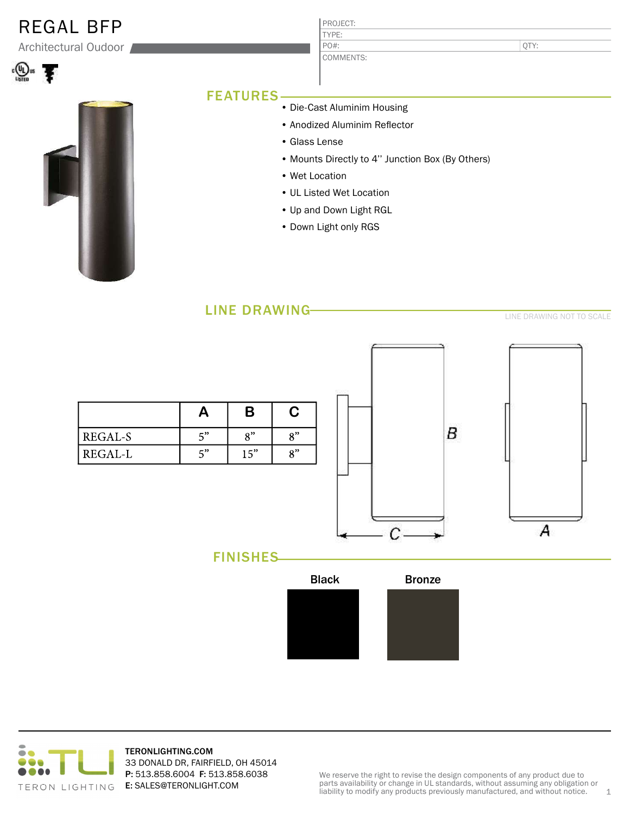| <b>REGAL BFP</b><br>Architectural Oudoor |                                                  | PROJECT:<br>TYPE:<br>PO#:     | QTY:                         |
|------------------------------------------|--------------------------------------------------|-------------------------------|------------------------------|
|                                          |                                                  | COMMENTS:                     |                              |
|                                          | <b>FEATURES</b>                                  |                               |                              |
|                                          |                                                  | • Die-Cast Aluminim Housing   |                              |
|                                          |                                                  | • Anodized Aluminim Reflector |                              |
|                                          | • Glass Lense                                    |                               |                              |
|                                          | • Mounts Directly to 4" Junction Box (By Others) |                               |                              |
|                                          |                                                  | • Wet Location                |                              |
|                                          | • UL Listed Wet Location                         |                               |                              |
|                                          |                                                  | • Up and Down Light RGL       |                              |
|                                          |                                                  | • Down Light only RGS         |                              |
|                                          |                                                  |                               |                              |
|                                          | <b>LINE DRAWING</b>                              |                               | LINIE DO MMINIO NOT TO COALL |





TERONLIGHTING.COM 33 DONALD DR, FAIRFIELD, OH 45014 P: 513.858.6004 F: 513.858.6038 E: SALES@TERONLIGHT.COM